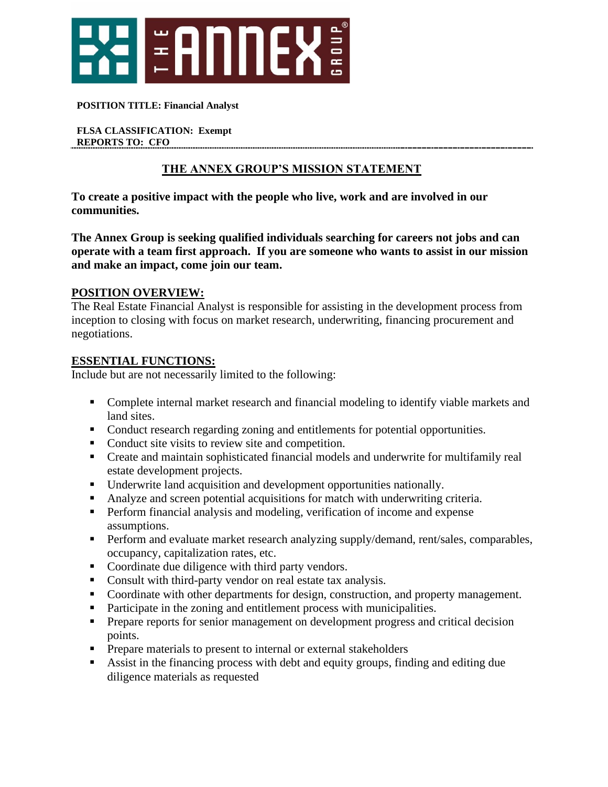

#### **POSITION TITLE: Financial Analyst**

**FLSA CLASSIFICATION: Exempt REPORTS TO: CFO** 

### **THE ANNEX GROUP'S MISSION STATEMENT**

**To create a positive impact with the people who live, work and are involved in our communities.**

**The Annex Group is seeking qualified individuals searching for careers not jobs and can operate with a team first approach. If you are someone who wants to assist in our mission and make an impact, come join our team.** 

### **POSITION OVERVIEW:**

The Real Estate Financial Analyst is responsible for assisting in the development process from inception to closing with focus on market research, underwriting, financing procurement and negotiations.

#### **ESSENTIAL FUNCTIONS:**

Include but are not necessarily limited to the following:

- Complete internal market research and financial modeling to identify viable markets and land sites.
- Conduct research regarding zoning and entitlements for potential opportunities.
- Conduct site visits to review site and competition.
- Create and maintain sophisticated financial models and underwrite for multifamily real estate development projects.
- Underwrite land acquisition and development opportunities nationally.
- Analyze and screen potential acquisitions for match with underwriting criteria.
- **•** Perform financial analysis and modeling, verification of income and expense assumptions.
- **•** Perform and evaluate market research analyzing supply/demand, rent/sales, comparables, occupancy, capitalization rates, etc.
- Coordinate due diligence with third party vendors.
- Consult with third-party vendor on real estate tax analysis.
- Coordinate with other departments for design, construction, and property management.
- Participate in the zoning and entitlement process with municipalities.
- **•** Prepare reports for senior management on development progress and critical decision points.
- **•** Prepare materials to present to internal or external stakeholders
- Assist in the financing process with debt and equity groups, finding and editing due diligence materials as requested